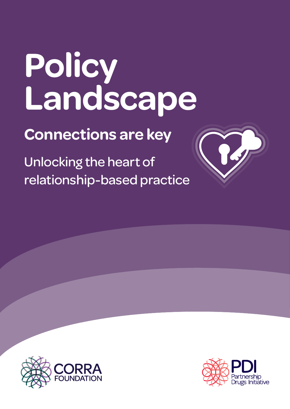## **Policy Landscape**

**Connections are key**

Unlocking the heart of relationship-based practice





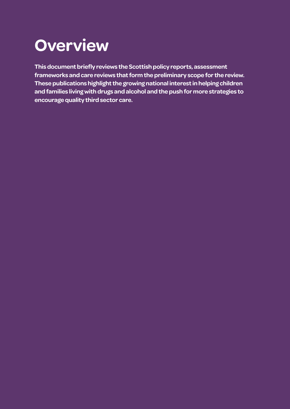## **Overview**

**This document briefly reviews the Scottish policy reports, assessment frameworks and care reviews that form the preliminary scope for the review. These publications highlight the growing national interest in helping children and families living with drugs and alcohol and the push for more strategies to encourage quality third sector care.**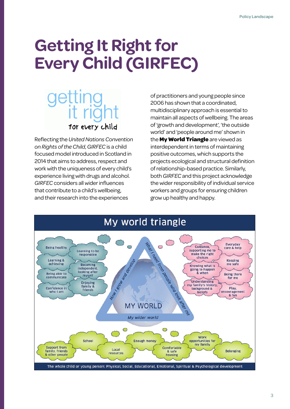## **Getting It Right for Every Child (GIRFEC)**

# for every child

Reflecting the *United Nations Convention on Rights of the Child*, *GIRFEC* is a child focused model introduced in Scotland in 2014 that aims to address, respect and work with the uniqueness of every child's experience living with drugs and alcohol. *GIRFEC* considers all wider influences that contribute to a child's wellbeing, and their research into the experiences

of practitioners and young people since 2006 has shown that a coordinated, multidisciplinary approach is essential to maintain all aspects of wellbeing. The areas of 'growth and development', 'the outside world' and 'people around me' shown in the **My World Triangle** are viewed as interdependent in terms of maintaining positive outcomes, which supports the projects ecological and structural definition of relationship-based practice. Similarly, both *GIRFEC* and this project acknowledge the wider responsibility of individual service workers and groups for ensuring children grow up healthy and happy.

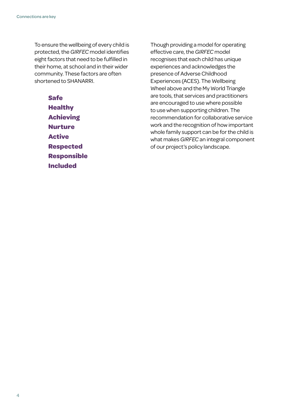To ensure the wellbeing of every child is protected, the *GIRFEC* model identifies eight factors that need to be fulfilled in their home, at school and in their wider community. These factors are often shortened to SHANARRI.

> **Safe Healthy Achieving Nurture Active Respected Responsible Included**

Though providing a model for operating effective care, the *GIRFEC* model recognises that each child has unique experiences and acknowledges the presence of Adverse Childhood Experiences (ACES). The Wellbeing Wheel above and the My World Triangle are tools, that services and practitioners are encouraged to use where possible to use when supporting children. The recommendation for collaborative service work and the recognition of how important whole family support can be for the child is what makes *GIRFEC* an integral component of our project's policy landscape.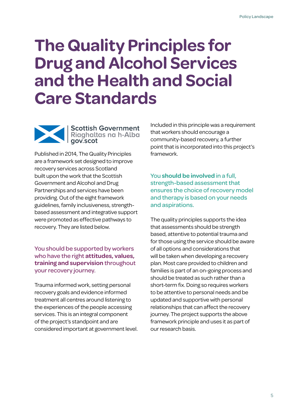## **The Quality Principles for Drug and Alcohol Services and the Health and Social Care Standards**



Scottish Government<br>Riaghaltas na h-Alba<br>gov.scot

Published in 2014, The Quality Principles are a framework set designed to improve recovery services across Scotland built upon the work that the Scottish Government and Alcohol and Drug Partnerships and services have been providing. Out of the eight framework guidelines, family inclusiveness, strengthbased assessment and integrative support were promoted as effective pathways to recovery. They are listed below.

#### You should be supported by workers who have the right **attitudes, values, training and supervision** throughout your recovery journey.

Trauma informed work, setting personal recovery goals and evidence informed treatment all centres around listening to the experiences of the people accessing services. This is an integral component of the project's standpoint and are considered important at government level.

Included in this principle was a requirement that workers should encourage a community-based recovery, a further point that is incorporated into this project's framework.

You **should be involved** in a full, strength-based assessment that ensures the choice of recovery model and therapy is based on your needs and aspirations.

The quality principles supports the idea that assessments should be strength based, attentive to potential trauma and for those using the service should be aware of all options and considerations that will be taken when developing a recovery plan. Most care provided to children and families is part of an on-going process and should be treated as such rather than a short-term fix. Doing so requires workers to be attentive to personal needs and be updated and supportive with personal relationships that can affect the recovery journey. The project supports the above framework principle and uses it as part of our research basis.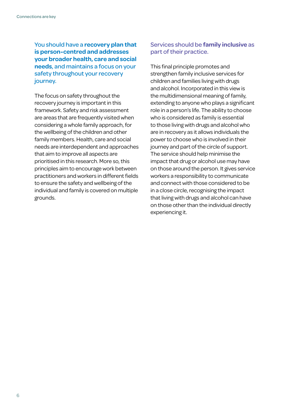You should have a **recovery plan that is person-centred and addresses your broader health, care and social needs**, and maintains a focus on your safety throughout your recovery journey.

The focus on safety throughout the recovery journey is important in this framework. Safety and risk assessment are areas that are frequently visited when considering a whole family approach, for the wellbeing of the children and other family members. Health, care and social needs are interdependent and approaches that aim to improve all aspects are prioritised in this research. More so, this principles aim to encourage work between practitioners and workers in different fields to ensure the safety and wellbeing of the individual and family is covered on multiple grounds.

#### Services should be **family inclusive** as part of their practice.

This final principle promotes and strengthen family inclusive services for children and families living with drugs and alcohol. Incorporated in this view is the multidimensional meaning of family, extending to anyone who plays a significant role in a person's life. The ability to choose who is considered as family is essential to those living with drugs and alcohol who are in recovery as it allows individuals the power to choose who is involved in their journey and part of the circle of support. The service should help minimise the impact that drug or alcohol use may have on those around the person. It gives service workers a responsibility to communicate and connect with those considered to be in a close circle, recognising the impact that living with drugs and alcohol can have on those other than the individual directly experiencing it.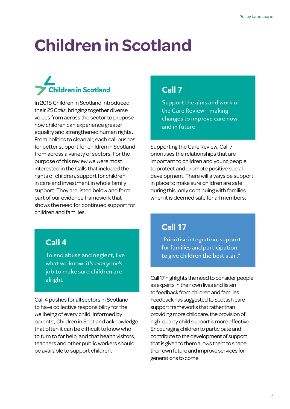## **Children in Scotland**

## **Children in Scotland**

In 2018 Children in Scotland introduced their *25 Calls*, bringing together diverse voices from across the sector to propose how children can experience greater equality and strengthened human rights**.**  From politics to clean air, each call pushes for better support for children in Scotland from across a variety of sectors. For the purpose of this review we were most interested in the Calls that included the rights of children, support for children in care and investment in whole family support. They are listed below and form part of our evidence framework that shows the need for continued support for children and families.

#### Call 7

Support the aims and work of the Care Review - making changes to improve care now and in future

Supporting the Care Review, Call 7 prioritises the relationships that are important to children and young people to protect and promote positive social development. There will always be support in place to make sure children are safe during this, only continuing with families when it is deemed safe for all members.

#### Call 4

To end abuse and neglect, live what we know: it's everyone's job to make sure children are alright

Call 4 pushes for all sectors in Scotland to have collective responsibility for the wellbeing of every child. Informed by parents', Children in Scotland acknowledge that often it can be difficult to know who to turn to for help, and that health visitors, teachers and other public workers should be available to support children.

#### Call 17

"Prioritise integration, support for families and participation to give children the best start"

Call 17 highlights the need to consider people as experts in their own lives and listen to feedback from children and families. Feedback has suggested to Scottish care support frameworks that rather than providing more childcare, the provision of high-quality child support is more effective. Encouraging children to participate and contribute to the development of support that is given to them allows them to shape their own future and improve services for generations to come.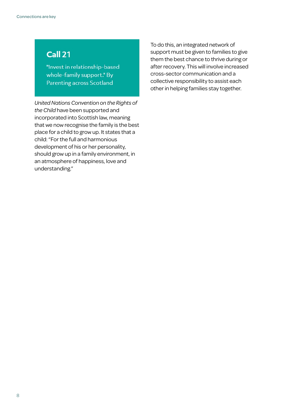#### **Call 21**

"Invest in relationship-based whole-family support." By **Parenting across Scotland** 

*United Nations Convention on the Rights of the Child* have been supported and incorporated into Scottish law, meaning that we now recognise the family is the best place for a child to grow up. It states that a child: "For the full and harmonious development of his or her personality, should grow up in a family environment, in an atmosphere of happiness, love and understanding."

To do this, an integrated network of support must be given to families to give them the best chance to thrive during or after recovery. This will involve increased cross-sector communication and a collective responsibility to assist each other in helping families stay together.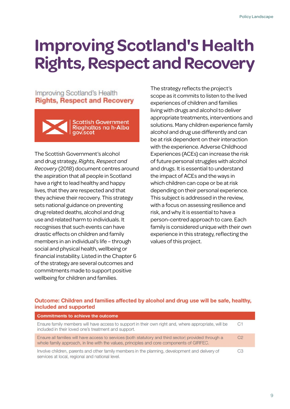## **Improving Scotland's Health Rights, Respect and Recovery**

Improving Scotland's Health **Rights, Respect and Recovery** 



The Scottish Government's alcohol and drug strategy, *Rights, Respect and Recovery* (2018) document centres around the aspiration that all people in Scotland have a right to lead healthy and happy lives, that they are respected and that they achieve their recovery. This strategy sets national guidance on preventing drug related deaths, alcohol and drug use and related harm to individuals. It recognises that such events can have drastic effects on children and family members in an individual's life – through social and physical health, wellbeing or financial instability. Listed in the Chapter 6 of the strategy are several outcomes and commitments made to support positive wellbeing for children and families.

The strategy reflects the project's scope as it commits to listen to the lived experiences of children and families living with drugs and alcohol to deliver appropriate treatments, interventions and solutions. Many children experience family alcohol and drug use differently and can be at risk dependent on their interaction with the experience. Adverse Childhood Experiences (ACEs) can increase the risk of future personal struggles with alcohol and drugs. It is essential to understand the impact of ACEs and the ways in which children can cope or be at risk depending on their personal experience. This subject is addressed in the review, with a focus on assessing resilience and risk, and why it is essential to have a person-centred approach to care. Each family is considered unique with their own experience in this strategy, reflecting the values of this project.

#### Outcome: Children and families affected by alcohol and drug use will be safe, healthy, included and supported

| <b>Commitments to achieve the outcome</b>                                                                                                                                                          |                |
|----------------------------------------------------------------------------------------------------------------------------------------------------------------------------------------------------|----------------|
| Ensure family members will have access to support in their own right and, where appropriate, will be<br>included in their loved one's treatment and support.                                       | C <sub>1</sub> |
| Ensure all families will have access to services (both statutory and third sector) provided through a<br>whole family approach, in line with the values, principles and core components of GIRFEC. | C <sub>2</sub> |
| Involve children, parents and other family members in the planning, development and delivery of<br>services at local, regional and national level.                                                 | C <sub>3</sub> |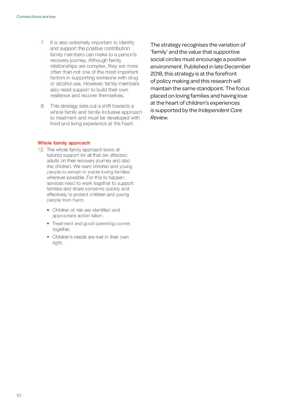- 7. It is also extremely important to identify and support the positive contribution family members can make to a person's recovery journey. Although family relationships are complex, they are more often than not one of the most important factors in supporting someone with drug or alcohol use. However, family members also need support to build their own resilience and recover themselves.
- 8. This strategy sets out a shift towards a whole family and family-inclusive approach to treatment and must be developed with lived and living experience at the heart.

The strategy recognises the variation of 'family' and the value that supportive social circles must encourage a positive environment. Published in late December 2018, this strategy is at the forefront of policy making and this research will maintain the same standpoint. The focus placed on loving families and having love at the heart of children's experiences is supported by the *Independent Care Review*.

#### Whole family approach

- 12. The whole family approach looks at tailored support for all that are affected: adults on their recovery journey and also the children. We want children and young people to remain in stable loving families wherever possible. For this to happen, services need to work together to support families and share concerns quickly and effectively to protect children and young people from harm.
	- Children at risk are identified and appropriate action taken.
	- Treatment and good parenting comes together.
	- Children's needs are met in their own right.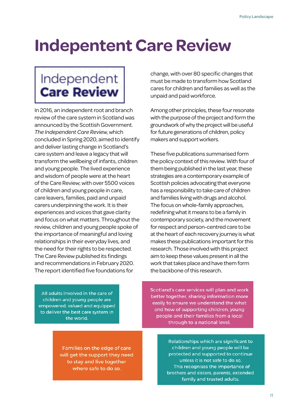## **Indepentent Care Review**

### Independent **Care Review**

In 2016, an independent root and branch review of the care system in Scotland was announced by the Scottish Government. *The Independent Care Review*, which concluded in Spring 2020, aimed to identify and deliver lasting change in Scotland's care system and leave a legacy that will transform the wellbeing of infants, children and young people. The lived experience and wisdom of people were at the heart of the Care Review; with over 5500 voices of children and young people in care, care leavers, families, paid and unpaid carers underpinning the work. It is their experiences and voices that gave clarity and focus on what matters. Throughout the review, children and young people spoke of the importance of meaningful and loving relationships in their everyday lives, and the need for their rights to be respected. The Care Review published its findings and recommendations in February 2020. The report identified five foundations for

change, with over 80 specific changes that must be made to transform how Scotland cares for children and families as well as the unpaid and paid workforce.

Among other principles, these four resonate with the purpose of the project and form the groundwork of why the project will be useful for future generations of children, policy makers and support workers.

These five publications summarised form the policy context of this review. With four of them being published in the last year, these strategies are a contemporary example of Scottish policies advocating that everyone has a responsibility to take care of children and families living with drugs and alcohol. The focus on whole-family approaches, redefining what it means to be a family in contemporary society, and the movement for respect and person-centred care to be at the heart of each recovery journey is what makes these publications important for this research. Those involved with this project aim to keep these values present in all the work that takes place and have them form the backbone of this research.

All adults involved in the care of children and young people are empowered, valued and equipped to deliver the best care system in the world.

Scotland's care services will plan and work better together, sharing information more easily to ensure we understand the what and how of supporting children, young people and their families from a local through to a national level.

Families on the edge of care will get the support they need to stay and live together where safe to do so.

Relationships which are significant to children and young people will be protected and supported to continue unless it is not safe to do so. This recognises the importance of brothers and sisters, parents, extended family and trusted adults.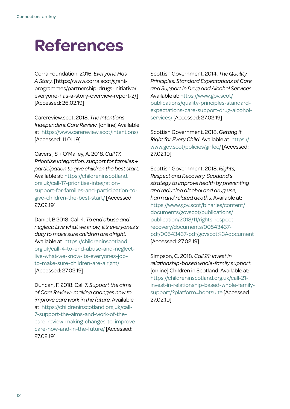## **References**

Corra Foundation, 2016. *Everyone Has A Story.* [https://www.corra.scot/grantprogrammes/partnership-drugs-initiative/ everyone-has-a-story-overview-report-2/] [Accessed: 26.02.19]

Carereview.scot. 2018. *The Intentions – Independent Care Review*. [online] Available at: <https://www.carereview.scot/intentions/> [Accessed: 11.01.19].

Cavers , S + O'Malley, A. 2018. *Call 17. Prioritise Integration, support for families + participation to give children the best start.*  Available at: [https://childreninscotland.](https://childreninscotland.org.uk/call-17-prioritise-integration-support-for-families-and-participation-to-give-children-the-best-start/) [org.uk/call-17-prioritise-integration](https://childreninscotland.org.uk/call-17-prioritise-integration-support-for-families-and-participation-to-give-children-the-best-start/)[support-for-families-and-participation-to](https://childreninscotland.org.uk/call-17-prioritise-integration-support-for-families-and-participation-to-give-children-the-best-start/)[give-children-the-best-start/](https://childreninscotland.org.uk/call-17-prioritise-integration-support-for-families-and-participation-to-give-children-the-best-start/) [Accessed 27.02.19]

Daniel, B 2018. Call 4. *To end abuse and neglect: Live what we know, it's everyones's duty to make sure children are alright.* Available at: [https://childreninscotland.](https://childreninscotland.org.uk/call-4-to-end-abuse-and-neglect-live-what-we-know-its-everyones-job-to-make-sure-children-are-alright/) [org.uk/call-4-to-end-abuse-and-neglect](https://childreninscotland.org.uk/call-4-to-end-abuse-and-neglect-live-what-we-know-its-everyones-job-to-make-sure-children-are-alright/)[live-what-we-know-its-everyones-job](https://childreninscotland.org.uk/call-4-to-end-abuse-and-neglect-live-what-we-know-its-everyones-job-to-make-sure-children-are-alright/)[to-make-sure-children-are-alright/](https://childreninscotland.org.uk/call-4-to-end-abuse-and-neglect-live-what-we-know-its-everyones-job-to-make-sure-children-are-alright/) [Accessed: 27.02.19]

Duncan, F. 2018. Call 7*. Support the aims of Care Review- making changes now to improve care work in the future.* Available at: [https://childreninscotland.org.uk/call-](https://childreninscotland.org.uk/call-7-support-the-aims-and-work-of-the-care-review-making-changes-to-improve-care-now-and-in-the-future/)[7-support-the-aims-and-work-of-the](https://childreninscotland.org.uk/call-7-support-the-aims-and-work-of-the-care-review-making-changes-to-improve-care-now-and-in-the-future/)[care-review-making-changes-to-improve](https://childreninscotland.org.uk/call-7-support-the-aims-and-work-of-the-care-review-making-changes-to-improve-care-now-and-in-the-future/)[care-now-and-in-the-future/](https://childreninscotland.org.uk/call-7-support-the-aims-and-work-of-the-care-review-making-changes-to-improve-care-now-and-in-the-future/) [Accessed: 27.02.19]

Scottish Government, 2014. *The Quality Principles: Standard Expectations of Care and Support in Drug and Alcohol Services.*  Available at: [https://www.gov.scot/](https://www.gov.scot/publications/quality-principles-standard-expectations-care-support-drug-alcohol-services/) [publications/quality-principles-standard](https://www.gov.scot/publications/quality-principles-standard-expectations-care-support-drug-alcohol-services/)[expectations-care-support-drug-alcohol](https://www.gov.scot/publications/quality-principles-standard-expectations-care-support-drug-alcohol-services/)[services/](https://www.gov.scot/publications/quality-principles-standard-expectations-care-support-drug-alcohol-services/) [Accessed: 27.02.19]

Scottish Government, 2018. *Getting it Right for Every Child.* Available at: [https://](https://www.gov.scot/policies/girfec/) [www.gov.scot/policies/girfec/](https://www.gov.scot/policies/girfec/) [Accessed: 27.02.19]

Scottish Government, 2018. *Rights, Respect and Recovery. Scotland's strategy to improve health by preventing and reducing alcohol and drug use, harm and related deaths*. Available at: [https://www.gov.scot/binaries/content/](https://www.gov.scot/binaries/content/documents/govscot/publications/publication/2018/11/rights-respect-recovery/documents/00543437-pdf/00543437-pdf/govscot%3Adocument) [documents/govscot/publications/](https://www.gov.scot/binaries/content/documents/govscot/publications/publication/2018/11/rights-respect-recovery/documents/00543437-pdf/00543437-pdf/govscot%3Adocument) [publication/2018/11/rights-respect](https://www.gov.scot/binaries/content/documents/govscot/publications/publication/2018/11/rights-respect-recovery/documents/00543437-pdf/00543437-pdf/govscot%3Adocument)[recovery/documents/00543437](https://www.gov.scot/binaries/content/documents/govscot/publications/publication/2018/11/rights-respect-recovery/documents/00543437-pdf/00543437-pdf/govscot%3Adocument) [pdf/00543437-pdf/govscot%3Adocument](https://www.gov.scot/binaries/content/documents/govscot/publications/publication/2018/11/rights-respect-recovery/documents/00543437-pdf/00543437-pdf/govscot%3Adocument) [Accessed: 27.02.19]

Simpson, C. 2018. *Call 21: Invest in relationship-based whole-family support*. [online] Children in Scotland. Available at: [https://childreninscotland.org.uk/call-21](https://childreninscotland.org.uk/call-21-invest-in-relationship-based-whole-family-support/?platform=hootsuite) [invest-in-relationship-based-whole-family](https://childreninscotland.org.uk/call-21-invest-in-relationship-based-whole-family-support/?platform=hootsuite)[support/?platform=hootsuite](https://childreninscotland.org.uk/call-21-invest-in-relationship-based-whole-family-support/?platform=hootsuite) [Accessed 27.02.19]